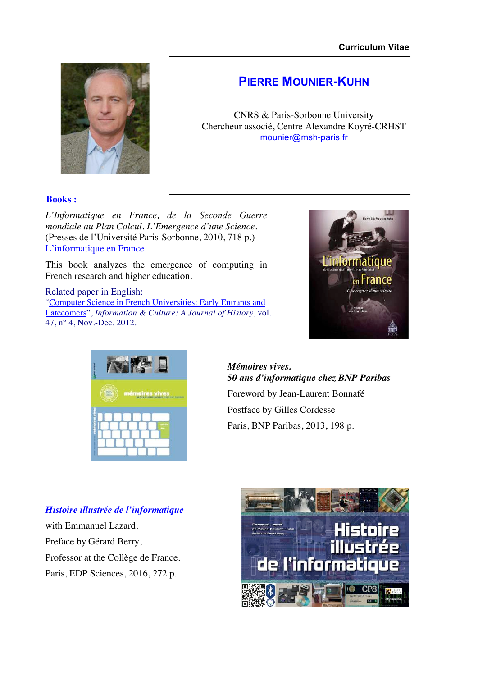

## **PIERRE MOUNIER-KUHN**

CNRS & Paris-Sorbonne University Chercheur associé, Centre Alexandre Koyré-CRHST mounier@msh-paris.fr

## **Books :**

*L'Informatique en France, de la Seconde Guerre mondiale au Plan Calcul. L'Emergence d'une Science.* (Presses de l'Université Paris-Sorbonne, 2010, 718 p.) L'informatique en France

This book analyzes the emergence of computing in French research and higher education.

## Related paper in English:

"Computer Science in French Universities: Early Entrants and Latecomers", *Information & Culture: A Journal of History*, vol. 47, n° 4, Nov.-Dec. 2012.





*Mémoires vives. 50 ans d'informatique chez BNP Paribas* Foreword by Jean-Laurent Bonnafé Postface by Gilles Cordesse Paris, BNP Paribas, 2013, 198 p.

## *Histoire illustrée de l'informatique*

with Emmanuel Lazard. Preface by Gérard Berry, Professor at the Collège de France. Paris, EDP Sciences, 2016, 272 p.